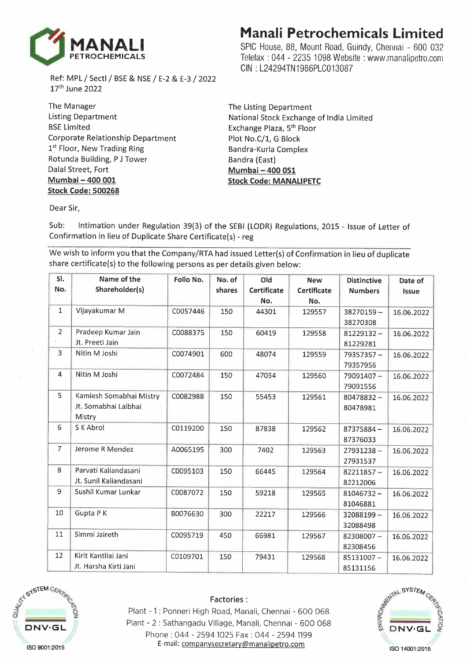

Ref: MPL / Sectl / BSE & NSE / E-2 & E-3 / 2022 17 th June 2022

The Manager Listing Department BSE Limited Corporate Relationship Department 1<sup>st</sup> Floor, New Trading Ring Rotunda Building, P J Tower Dalal Street, Fort **Mumbai - 400 001 Stock Code: 500268** 

## **Manali Petrochemicals Limited**

SPIC House, 88, Mount Road, Guindy, Chennai - 600 032 Telefax : 044 - 2235 1098 Website : www.manalipetro.com GIN : L24294TN1986PLC013087

The Listing Department National Stock Exchange of India Limited Exchange Plaza, 5<sup>th</sup> Floor Plot No.C/1, G Block Bandra-Kurla Complex Bandra (East) **Mumbai - 400 051 Stock Code: MANALIPETC** 

Dear Sir,

Sub: Intimation under Regulation 39(3) of the SEBI (LODR) Regulations, 2015 - Issue of Letter of Confirmation in lieu of Duplicate Share Certificate(s) - reg

We wish to inform you that the Company/RTA had issued Letter(s) of Confirmation in lieu of duplicate share certificate(s) to the following persons as per details given below:

| SI.            | Name of the             | Folio No. | No. of | Old                | <b>New</b>  | <b>Distinctive</b> | Date of      |
|----------------|-------------------------|-----------|--------|--------------------|-------------|--------------------|--------------|
| No.            | Shareholder(s)          |           | shares | <b>Certificate</b> | Certificate | <b>Numbers</b>     | <b>Issue</b> |
|                |                         |           |        | No.                | No.         |                    |              |
| 1              | Vijayakumar M           | C0057446  | 150    | 44301              | 129557      | 38270159-          | 16.06.2022   |
|                |                         |           |        |                    |             | 38270308           |              |
| $\overline{2}$ | Pradeep Kumar Jain      | C0088375  | 150    | 60419              | 129558      | $81229132 -$       | 16.06.2022   |
|                | Jt. Preeti Jain         |           |        |                    |             | 81229281           |              |
| 3              | Nitin M Joshi           | C0074901  | 600    | 48074              | 129559      | 79357357-          | 16.06.2022   |
|                |                         |           |        |                    |             | 79357956           |              |
| 4              | Nitin M Joshi           | C0072484  | 150    | 47034              | 129560      | 79091407-          | 16.06.2022   |
|                |                         |           |        |                    |             | 79091556           |              |
| 5              | Kamlesh Somabhai Mistry | C0082988  | 150    | 55453              | 129561      | $80478832 -$       | 16.06.2022   |
|                | Jt. Somabhai Lalbhai    |           |        |                    |             | 80478981           |              |
|                | Mistry                  |           |        |                    |             |                    |              |
| 6              | S K Abrol               | C0119200  | 150    | 87838              | 129562      | $87375884 -$       | 16.06.2022   |
|                |                         |           |        |                    |             | 87376033           |              |
| $\overline{7}$ | Jerome R Mendez         | A0065195  | 300    | 7402               | 129563      | $27931238 -$       | 16.06.2022   |
|                |                         |           |        |                    |             | 27931537           |              |
| 8              | Parvati Kaliandasani    | C0095103  | 150    | 66445              | 129564      | $82211857 -$       | 16.06.2022   |
|                | Jt. Sunil Kaliandasani  |           |        |                    |             | 82212006           |              |
| 9              | Sushil Kumar Lunkar     | C0087072  | 150    | 59218              | 129565      | $81046732 -$       | 16.06.2022   |
|                |                         |           |        |                    |             | 81046881           |              |
| 10             | Gupta PK                | B0076630  | 300    | 22217              | 129566      | 32088199-          | 16.06.2022   |
|                |                         |           |        |                    |             | 32088498           |              |
| 11             | Simmi Jaireth           | C0095719  | 450    | 66981              | 129567      | 82308007-          | 16.06.2022   |
|                |                         |           |        |                    |             | 82308456           |              |
| 12             | Kirit Kantilal Jani     | C0109701  | 150    | 79431              | 129568      | 85131007-          | 16.06.2022   |
|                | Jt. Harsha Kirti Jani   |           |        |                    |             | 85131156           |              |



## Factories:

Plant - 1 : Ponneri High Road, Manali, Chennai - 600 068 Plant - 2 : Sathangadu Village, Manali, Chennai - 600 068 Phone : 044 - 2594 1025 Fax : 044 - 2594 1199 E-mail: companysecretary@manalipetro.com